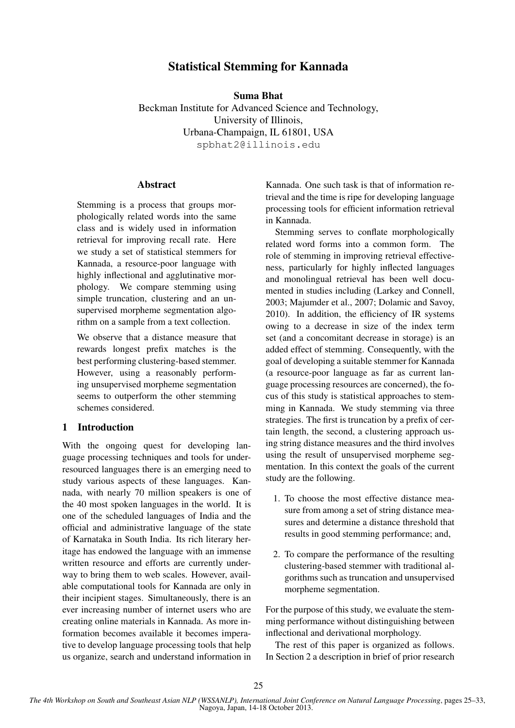# Statistical Stemming for Kannada

Suma Bhat Beckman Institute for Advanced Science and Technology, University of Illinois, Urbana-Champaign, IL 61801, USA spbhat2@illinois.edu

## Abstract

Stemming is a process that groups morphologically related words into the same class and is widely used in information retrieval for improving recall rate. Here we study a set of statistical stemmers for Kannada, a resource-poor language with highly inflectional and agglutinative morphology. We compare stemming using simple truncation, clustering and an unsupervised morpheme segmentation algorithm on a sample from a text collection.

We observe that a distance measure that rewards longest prefix matches is the best performing clustering-based stemmer. However, using a reasonably performing unsupervised morpheme segmentation seems to outperform the other stemming schemes considered.

## 1 Introduction

With the ongoing quest for developing language processing techniques and tools for underresourced languages there is an emerging need to study various aspects of these languages. Kannada, with nearly 70 million speakers is one of the 40 most spoken languages in the world. It is one of the scheduled languages of India and the official and administrative language of the state of Karnataka in South India. Its rich literary heritage has endowed the language with an immense written resource and efforts are currently underway to bring them to web scales. However, available computational tools for Kannada are only in their incipient stages. Simultaneously, there is an ever increasing number of internet users who are creating online materials in Kannada. As more information becomes available it becomes imperative to develop language processing tools that help us organize, search and understand information in

Kannada. One such task is that of information retrieval and the time is ripe for developing language processing tools for efficient information retrieval in Kannada.

Stemming serves to conflate morphologically related word forms into a common form. The role of stemming in improving retrieval effectiveness, particularly for highly inflected languages and monolingual retrieval has been well documented in studies including (Larkey and Connell, 2003; Majumder et al., 2007; Dolamic and Savoy, 2010). In addition, the efficiency of IR systems owing to a decrease in size of the index term set (and a concomitant decrease in storage) is an added effect of stemming. Consequently, with the goal of developing a suitable stemmer for Kannada (a resource-poor language as far as current language processing resources are concerned), the focus of this study is statistical approaches to stemming in Kannada. We study stemming via three strategies. The first is truncation by a prefix of certain length, the second, a clustering approach using string distance measures and the third involves using the result of unsupervised morpheme segmentation. In this context the goals of the current study are the following.

- 1. To choose the most effective distance measure from among a set of string distance measures and determine a distance threshold that results in good stemming performance; and,
- 2. To compare the performance of the resulting clustering-based stemmer with traditional algorithms such as truncation and unsupervised morpheme segmentation.

For the purpose of this study, we evaluate the stemming performance without distinguishing between inflectional and derivational morphology.

The rest of this paper is organized as follows. In Section 2 a description in brief of prior research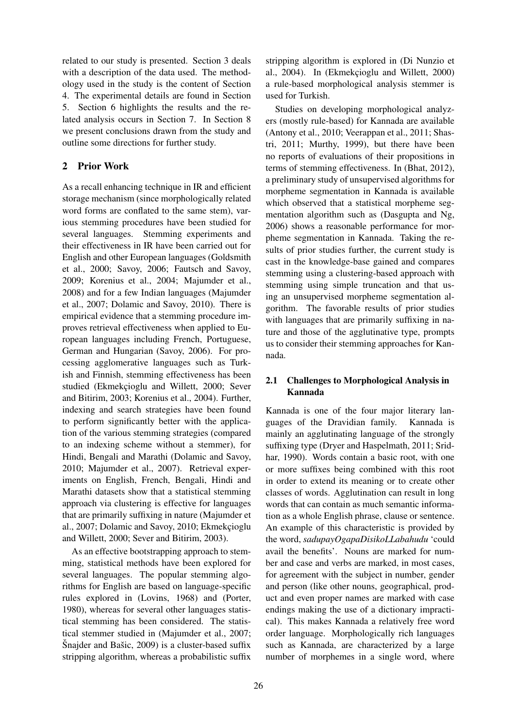related to our study is presented. Section 3 deals with a description of the data used. The methodology used in the study is the content of Section 4. The experimental details are found in Section 5. Section 6 highlights the results and the related analysis occurs in Section 7. In Section 8 we present conclusions drawn from the study and outline some directions for further study.

## 2 Prior Work

As a recall enhancing technique in IR and efficient storage mechanism (since morphologically related word forms are conflated to the same stem), various stemming procedures have been studied for several languages. Stemming experiments and their effectiveness in IR have been carried out for English and other European languages (Goldsmith et al., 2000; Savoy, 2006; Fautsch and Savoy, 2009; Korenius et al., 2004; Majumder et al., 2008) and for a few Indian languages (Majumder et al., 2007; Dolamic and Savoy, 2010). There is empirical evidence that a stemming procedure improves retrieval effectiveness when applied to European languages including French, Portuguese, German and Hungarian (Savoy, 2006). For processing agglomerative languages such as Turkish and Finnish, stemming effectiveness has been studied (Ekmekçioglu and Willett, 2000; Sever and Bitirim, 2003; Korenius et al., 2004). Further, indexing and search strategies have been found to perform significantly better with the application of the various stemming strategies (compared to an indexing scheme without a stemmer), for Hindi, Bengali and Marathi (Dolamic and Savoy, 2010; Majumder et al., 2007). Retrieval experiments on English, French, Bengali, Hindi and Marathi datasets show that a statistical stemming approach via clustering is effective for languages that are primarily suffixing in nature (Majumder et al., 2007; Dolamic and Savoy, 2010; Ekmekçioglu and Willett, 2000; Sever and Bitirim, 2003).

As an effective bootstrapping approach to stemming, statistical methods have been explored for several languages. The popular stemming algorithms for English are based on language-specific rules explored in (Lovins, 1968) and (Porter, 1980), whereas for several other languages statistical stemming has been considered. The statistical stemmer studied in (Majumder et al., 2007; Snajder and Bašic, 2009) is a cluster-based suffix stripping algorithm, whereas a probabilistic suffix

stripping algorithm is explored in (Di Nunzio et al., 2004). In (Ekmekçioglu and Willett, 2000) a rule-based morphological analysis stemmer is used for Turkish.

Studies on developing morphological analyzers (mostly rule-based) for Kannada are available (Antony et al., 2010; Veerappan et al., 2011; Shastri, 2011; Murthy, 1999), but there have been no reports of evaluations of their propositions in terms of stemming effectiveness. In (Bhat, 2012), a preliminary study of unsupervised algorithms for morpheme segmentation in Kannada is available which observed that a statistical morpheme segmentation algorithm such as (Dasgupta and Ng, 2006) shows a reasonable performance for morpheme segmentation in Kannada. Taking the results of prior studies further, the current study is cast in the knowledge-base gained and compares stemming using a clustering-based approach with stemming using simple truncation and that using an unsupervised morpheme segmentation algorithm. The favorable results of prior studies with languages that are primarily suffixing in nature and those of the agglutinative type, prompts us to consider their stemming approaches for Kannada.

## 2.1 Challenges to Morphological Analysis in Kannada

Kannada is one of the four major literary languages of the Dravidian family. Kannada is mainly an agglutinating language of the strongly suffixing type (Dryer and Haspelmath, 2011; Sridhar, 1990). Words contain a basic root, with one or more suffixes being combined with this root in order to extend its meaning or to create other classes of words. Agglutination can result in long words that can contain as much semantic information as a whole English phrase, clause or sentence. An example of this characteristic is provided by the word, *sadupayOgapaDisikoLLabahudu* 'could avail the benefits'. Nouns are marked for number and case and verbs are marked, in most cases, for agreement with the subject in number, gender and person (like other nouns, geographical, product and even proper names are marked with case endings making the use of a dictionary impractical). This makes Kannada a relatively free word order language. Morphologically rich languages such as Kannada, are characterized by a large number of morphemes in a single word, where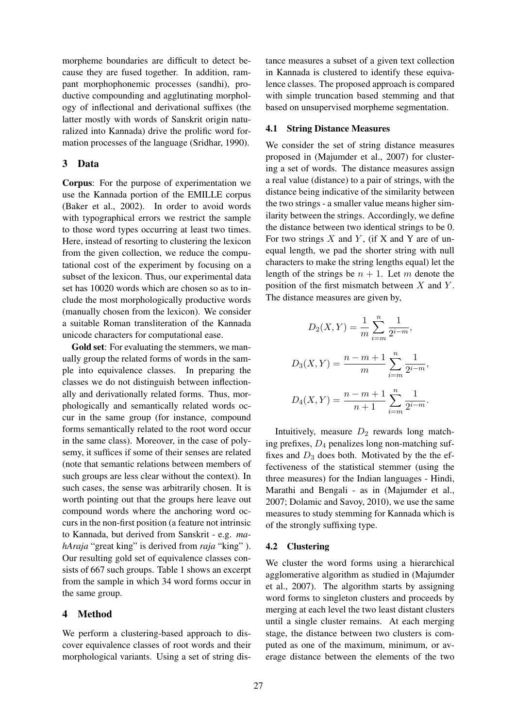morpheme boundaries are difficult to detect because they are fused together. In addition, rampant morphophonemic processes (sandhi), productive compounding and agglutinating morphology of inflectional and derivational suffixes (the latter mostly with words of Sanskrit origin naturalized into Kannada) drive the prolific word formation processes of the language (Sridhar, 1990).

### 3 Data

Corpus: For the purpose of experimentation we use the Kannada portion of the EMILLE corpus (Baker et al., 2002). In order to avoid words with typographical errors we restrict the sample to those word types occurring at least two times. Here, instead of resorting to clustering the lexicon from the given collection, we reduce the computational cost of the experiment by focusing on a subset of the lexicon. Thus, our experimental data set has 10020 words which are chosen so as to include the most morphologically productive words (manually chosen from the lexicon). We consider a suitable Roman transliteration of the Kannada unicode characters for computational ease.

Gold set: For evaluating the stemmers, we manually group the related forms of words in the sample into equivalence classes. In preparing the classes we do not distinguish between inflectionally and derivationally related forms. Thus, morphologically and semantically related words occur in the same group (for instance, compound forms semantically related to the root word occur in the same class). Moreover, in the case of polysemy, it suffices if some of their senses are related (note that semantic relations between members of such groups are less clear without the context). In such cases, the sense was arbitrarily chosen. It is worth pointing out that the groups here leave out compound words where the anchoring word occurs in the non-first position (a feature not intrinsic to Kannada, but derived from Sanskrit - e.g. *mahAraja* "great king" is derived from *raja* "king" ). Our resulting gold set of equivalence classes consists of 667 such groups. Table 1 shows an excerpt from the sample in which 34 word forms occur in the same group.

### 4 Method

We perform a clustering-based approach to discover equivalence classes of root words and their morphological variants. Using a set of string distance measures a subset of a given text collection in Kannada is clustered to identify these equivalence classes. The proposed approach is compared with simple truncation based stemming and that based on unsupervised morpheme segmentation.

#### 4.1 String Distance Measures

We consider the set of string distance measures proposed in (Majumder et al., 2007) for clustering a set of words. The distance measures assign a real value (distance) to a pair of strings, with the distance being indicative of the similarity between the two strings - a smaller value means higher similarity between the strings. Accordingly, we define the distance between two identical strings to be 0. For two strings  $X$  and  $Y$ , (if  $X$  and  $Y$  are of unequal length, we pad the shorter string with null characters to make the string lengths equal) let the length of the strings be  $n + 1$ . Let m denote the position of the first mismatch between  $X$  and  $Y$ . The distance measures are given by,

$$
D_2(X, Y) = \frac{1}{m} \sum_{i=m}^{n} \frac{1}{2^{i-m}},
$$
  

$$
D_3(X, Y) = \frac{n-m+1}{m} \sum_{i=m}^{n} \frac{1}{2^{i-m}},
$$
  

$$
D_4(X, Y) = \frac{n-m+1}{n+1} \sum_{i=m}^{n} \frac{1}{2^{i-m}}.
$$

Intuitively, measure  $D_2$  rewards long matching prefixes,  $D_4$  penalizes long non-matching suffixes and  $D_3$  does both. Motivated by the the effectiveness of the statistical stemmer (using the three measures) for the Indian languages - Hindi, Marathi and Bengali - as in (Majumder et al., 2007; Dolamic and Savoy, 2010), we use the same measures to study stemming for Kannada which is of the strongly suffixing type.

### 4.2 Clustering

We cluster the word forms using a hierarchical agglomerative algorithm as studied in (Majumder et al., 2007). The algorithm starts by assigning word forms to singleton clusters and proceeds by merging at each level the two least distant clusters until a single cluster remains. At each merging stage, the distance between two clusters is computed as one of the maximum, minimum, or average distance between the elements of the two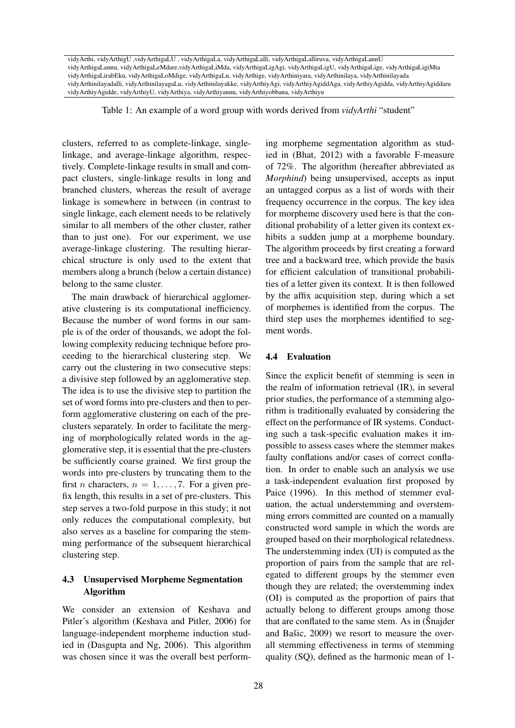vidyArthi, vidyArthigU ,vidyArthigaLU , vidyArthigaLa, vidyArthigaLalli, vidyArthigaLalliruva, vidyArthigaLannU vidyArthigaLannu, vidyArthigaLeMdare,vidyArthigaLiMda, vidyArthigaLigAgi, vidyArthigaLigU, vidyArthigaLige, vidyArthigaLigiMta vidyArthigaLirabEku, vidyArthigaLoMdige, vidyArthigaLu, vidyArthige, vidyArthiniyara, vidyArthinilaya, vidyArthinilayada vidyArthinilayadalli, vidyArthinilayagaLu, vidyArthinilayakke, vidyArthiyAgi, vidyArthiyAgiddAga, vidyArthiyAgidda, vidyArthiyAgiddaru vidyArthiyAgidde, vidyArthiyU, vidyArthiya, vidyArthiyannu, vidyArthiyobbana, vidyArthiyu

Table 1: An example of a word group with words derived from *vidyArthi* "student"

clusters, referred to as complete-linkage, singlelinkage, and average-linkage algorithm, respectively. Complete-linkage results in small and compact clusters, single-linkage results in long and branched clusters, whereas the result of average linkage is somewhere in between (in contrast to single linkage, each element needs to be relatively similar to all members of the other cluster, rather than to just one). For our experiment, we use average-linkage clustering. The resulting hierarchical structure is only used to the extent that members along a branch (below a certain distance) belong to the same cluster.

The main drawback of hierarchical agglomerative clustering is its computational inefficiency. Because the number of word forms in our sample is of the order of thousands, we adopt the following complexity reducing technique before proceeding to the hierarchical clustering step. We carry out the clustering in two consecutive steps: a divisive step followed by an agglomerative step. The idea is to use the divisive step to partition the set of word forms into pre-clusters and then to perform agglomerative clustering on each of the preclusters separately. In order to facilitate the merging of morphologically related words in the agglomerative step, it is essential that the pre-clusters be sufficiently coarse grained. We first group the words into pre-clusters by truncating them to the first *n* characters,  $n = 1, \ldots, 7$ . For a given prefix length, this results in a set of pre-clusters. This step serves a two-fold purpose in this study; it not only reduces the computational complexity, but also serves as a baseline for comparing the stemming performance of the subsequent hierarchical clustering step.

## 4.3 Unsupervised Morpheme Segmentation Algorithm

We consider an extension of Keshava and Pitler's algorithm (Keshava and Pitler, 2006) for language-independent morpheme induction studied in (Dasgupta and Ng, 2006). This algorithm was chosen since it was the overall best performing morpheme segmentation algorithm as studied in (Bhat, 2012) with a favorable F-measure of 72%. The algorithm (hereafter abbreviated as *Morphind*) being unsupervised, accepts as input an untagged corpus as a list of words with their frequency occurrence in the corpus. The key idea for morpheme discovery used here is that the conditional probability of a letter given its context exhibits a sudden jump at a morpheme boundary. The algorithm proceeds by first creating a forward tree and a backward tree, which provide the basis for efficient calculation of transitional probabilities of a letter given its context. It is then followed by the affix acquisition step, during which a set of morphemes is identified from the corpus. The third step uses the morphemes identified to segment words.

## 4.4 Evaluation

Since the explicit benefit of stemming is seen in the realm of information retrieval (IR), in several prior studies, the performance of a stemming algorithm is traditionally evaluated by considering the effect on the performance of IR systems. Conducting such a task-specific evaluation makes it impossible to assess cases where the stemmer makes faulty conflations and/or cases of correct conflation. In order to enable such an analysis we use a task-independent evaluation first proposed by Paice (1996). In this method of stemmer evaluation, the actual understemming and overstemming errors committed are counted on a manually constructed word sample in which the words are grouped based on their morphological relatedness. The understemming index (UI) is computed as the proportion of pairs from the sample that are relegated to different groups by the stemmer even though they are related; the overstemming index (OI) is computed as the proportion of pairs that actually belong to different groups among those that are conflated to the same stem. As in (Snajder and Bašic,  $2009$ ) we resort to measure the overall stemming effectiveness in terms of stemming quality (SQ), defined as the harmonic mean of 1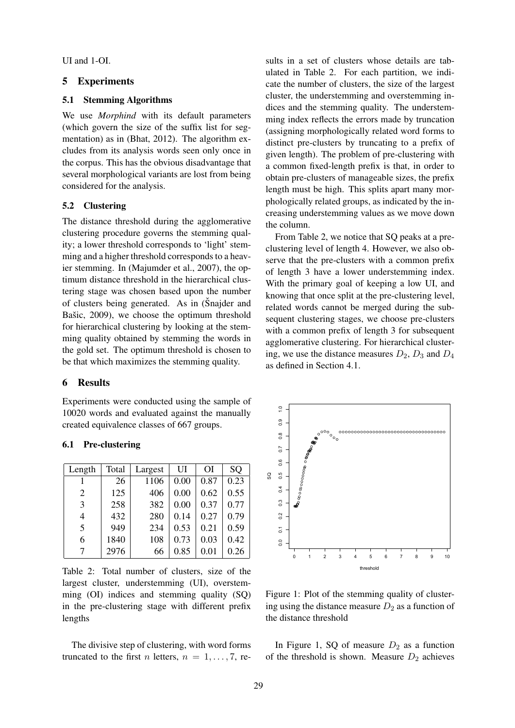UI and 1-OI.

## 5 Experiments

## 5.1 Stemming Algorithms

We use *Morphind* with its default parameters (which govern the size of the suffix list for segmentation) as in (Bhat, 2012). The algorithm excludes from its analysis words seen only once in the corpus. This has the obvious disadvantage that several morphological variants are lost from being considered for the analysis.

#### 5.2 Clustering

The distance threshold during the agglomerative clustering procedure governs the stemming quality; a lower threshold corresponds to 'light' stemming and a higher threshold corresponds to a heavier stemming. In (Majumder et al., 2007), the optimum distance threshold in the hierarchical clustering stage was chosen based upon the number of clusters being generated. As in (Snajder and Bašic,  $2009$ ), we choose the optimum threshold for hierarchical clustering by looking at the stemming quality obtained by stemming the words in the gold set. The optimum threshold is chosen to be that which maximizes the stemming quality.

### 6 Results

Experiments were conducted using the sample of 10020 words and evaluated against the manually created equivalence classes of 667 groups.

#### 6.1 Pre-clustering

| Length | Total | Largest | UI   | <b>OI</b> | SQ   |
|--------|-------|---------|------|-----------|------|
|        | 26    | 1106    | 0.00 | 0.87      | 0.23 |
| 2      | 125   | 406     | 0.00 | 0.62      | 0.55 |
| 3      | 258   | 382     | 0.00 | 0.37      | 0.77 |
| 4      | 432   | 280     | 0.14 | 0.27      | 0.79 |
| 5      | 949   | 234     | 0.53 | 0.21      | 0.59 |
| 6      | 1840  | 108     | 0.73 | 0.03      | 0.42 |
|        | 2976  | 66      | 0.85 | 0.01      | 0.26 |

Table 2: Total number of clusters, size of the largest cluster, understemming (UI), overstemming (OI) indices and stemming quality (SQ) in the pre-clustering stage with different prefix lengths

The divisive step of clustering, with word forms truncated to the first *n* letters,  $n = 1, \ldots, 7$ , results in a set of clusters whose details are tabulated in Table 2. For each partition, we indicate the number of clusters, the size of the largest cluster, the understemming and overstemming indices and the stemming quality. The understemming index reflects the errors made by truncation (assigning morphologically related word forms to distinct pre-clusters by truncating to a prefix of given length). The problem of pre-clustering with a common fixed-length prefix is that, in order to obtain pre-clusters of manageable sizes, the prefix length must be high. This splits apart many morphologically related groups, as indicated by the increasing understemming values as we move down the column.

From Table 2, we notice that SQ peaks at a preclustering level of length 4. However, we also observe that the pre-clusters with a common prefix of length 3 have a lower understemming index. With the primary goal of keeping a low UI, and knowing that once split at the pre-clustering level, related words cannot be merged during the subsequent clustering stages, we choose pre-clusters with a common prefix of length 3 for subsequent agglomerative clustering. For hierarchical clustering, we use the distance measures  $D_2$ ,  $D_3$  and  $D_4$ as defined in Section 4.1.



Figure 1: Plot of the stemming quality of clustering using the distance measure  $D_2$  as a function of the distance threshold

In Figure 1, SQ of measure  $D_2$  as a function of the threshold is shown. Measure  $D_2$  achieves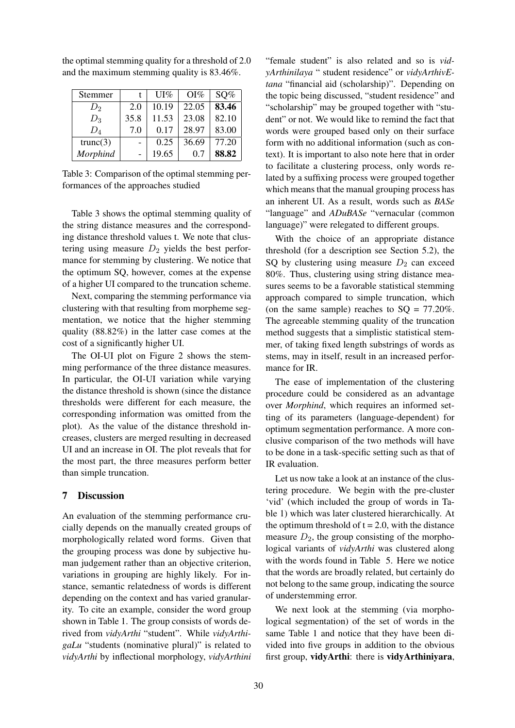| Stemmer  |      | UI%   | $OI\%$ | SQ%   |
|----------|------|-------|--------|-------|
| $D_2$    | 2.0  | 10.19 | 22.05  | 83.46 |
| $D_3$    | 35.8 | 11.53 | 23.08  | 82.10 |
| $D_4$    | 7.0  | 0.17  | 28.97  | 83.00 |
| trunc(3) |      | 0.25  | 36.69  | 77.20 |
| Morphind |      | 19.65 | 07     | 88.82 |

the optimal stemming quality for a threshold of 2.0 and the maximum stemming quality is 83.46%.

Table 3: Comparison of the optimal stemming performances of the approaches studied

Table 3 shows the optimal stemming quality of the string distance measures and the corresponding distance threshold values t. We note that clustering using measure  $D_2$  yields the best performance for stemming by clustering. We notice that the optimum SQ, however, comes at the expense of a higher UI compared to the truncation scheme.

Next, comparing the stemming performance via clustering with that resulting from morpheme segmentation, we notice that the higher stemming quality (88.82%) in the latter case comes at the cost of a significantly higher UI.

The OI-UI plot on Figure 2 shows the stemming performance of the three distance measures. In particular, the OI-UI variation while varying the distance threshold is shown (since the distance thresholds were different for each measure, the corresponding information was omitted from the plot). As the value of the distance threshold increases, clusters are merged resulting in decreased UI and an increase in OI. The plot reveals that for the most part, the three measures perform better than simple truncation.

## 7 Discussion

An evaluation of the stemming performance crucially depends on the manually created groups of morphologically related word forms. Given that the grouping process was done by subjective human judgement rather than an objective criterion, variations in grouping are highly likely. For instance, semantic relatedness of words is different depending on the context and has varied granularity. To cite an example, consider the word group shown in Table 1. The group consists of words derived from *vidyArthi* "student". While *vidyArthigaLu* "students (nominative plural)" is related to *vidyArthi* by inflectional morphology, *vidyArthini*

"female student" is also related and so is *vidyArthinilaya* " student residence" or *vidyArthivEtana* "financial aid (scholarship)". Depending on the topic being discussed, "student residence" and "scholarship" may be grouped together with "student" or not. We would like to remind the fact that words were grouped based only on their surface form with no additional information (such as context). It is important to also note here that in order to facilitate a clustering process, only words related by a suffixing process were grouped together which means that the manual grouping process has an inherent UI. As a result, words such as *BASe* "language" and *ADuBASe* "vernacular (common language)" were relegated to different groups.

With the choice of an appropriate distance threshold (for a description see Section 5.2), the SQ by clustering using measure  $D_2$  can exceed 80%. Thus, clustering using string distance measures seems to be a favorable statistical stemming approach compared to simple truncation, which (on the same sample) reaches to  $SQ = 77.20\%$ . The agreeable stemming quality of the truncation method suggests that a simplistic statistical stemmer, of taking fixed length substrings of words as stems, may in itself, result in an increased performance for IR.

The ease of implementation of the clustering procedure could be considered as an advantage over *Morphind*, which requires an informed setting of its parameters (language-dependent) for optimum segmentation performance. A more conclusive comparison of the two methods will have to be done in a task-specific setting such as that of IR evaluation.

Let us now take a look at an instance of the clustering procedure. We begin with the pre-cluster 'vid' (which included the group of words in Table 1) which was later clustered hierarchically. At the optimum threshold of  $t = 2.0$ , with the distance measure  $D_2$ , the group consisting of the morphological variants of *vidyArthi* was clustered along with the words found in Table 5. Here we notice that the words are broadly related, but certainly do not belong to the same group, indicating the source of understemming error.

We next look at the stemming (via morphological segmentation) of the set of words in the same Table 1 and notice that they have been divided into five groups in addition to the obvious first group, vidyArthi: there is vidyArthiniyara,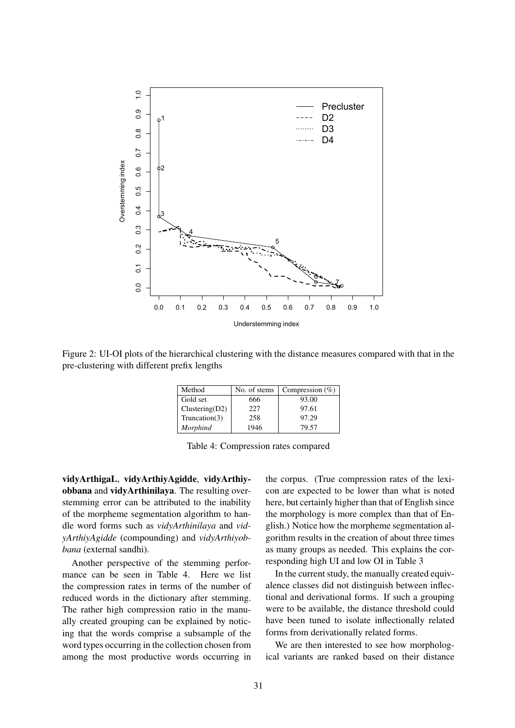

Figure 2: UI-OI plots of the hierarchical clustering with the distance measures compared with that in the pre-clustering with different prefix lengths

| Method         | No. of stems | Compression $(\%)$ |
|----------------|--------------|--------------------|
| Gold set       | 666          | 93.00              |
| Clustering(D2) | 227          | 97.61              |
| Truncation(3)  | 258          | 97.29              |
| Morphind       | 1946         | 79.57              |

| Table 4: Compression rates compared |  |
|-------------------------------------|--|
|                                     |  |

vidyArthigaL, vidyArthiyAgidde, vidyArthiyobbana and vidyArthinilaya. The resulting overstemming error can be attributed to the inability of the morpheme segmentation algorithm to handle word forms such as *vidyArthinilaya* and *vidyArthiyAgidde* (compounding) and *vidyArthiyobbana* (external sandhi).

Another perspective of the stemming performance can be seen in Table 4. Here we list the compression rates in terms of the number of reduced words in the dictionary after stemming. The rather high compression ratio in the manually created grouping can be explained by noticing that the words comprise a subsample of the word types occurring in the collection chosen from among the most productive words occurring in the corpus. (True compression rates of the lexicon are expected to be lower than what is noted here, but certainly higher than that of English since the morphology is more complex than that of English.) Notice how the morpheme segmentation algorithm results in the creation of about three times as many groups as needed. This explains the corresponding high UI and low OI in Table 3

In the current study, the manually created equivalence classes did not distinguish between inflectional and derivational forms. If such a grouping were to be available, the distance threshold could have been tuned to isolate inflectionally related forms from derivationally related forms.

We are then interested to see how morphological variants are ranked based on their distance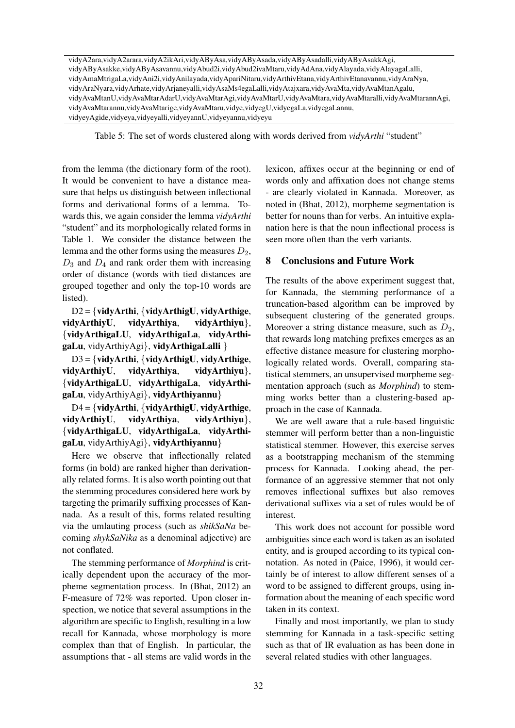vidyA2ara,vidyA2arara,vidyA2ikAri,vidyAByAsa,vidyAByAsada,vidyAByAsadalli,vidyAByAsakkAgi, vidyAByAsakke,vidyAByAsavannu,vidyAbud2i,vidyAbud2ivaMtaru,vidyAdAna,vidyAlayada,vidyAlayagaLalli, vidyAmaMtrigaLa,vidyAni2i,vidyAnilayada,vidyApariNitaru,vidyArthivEtana,vidyArthivEtanavannu,vidyAraNya, vidyAraNyara,vidyArhate,vidyArjaneyalli,vidyAsaMs4egaLalli,vidyAtajxara,vidyAvaMta,vidyAvaMtanAgalu, vidyAvaMtanU,vidyAvaMtarAdarU,vidyAvaMtarAgi,vidyAvaMtarU,vidyAvaMtara,vidyAvaMtaralli,vidyAvaMtarannAgi, vidyAvaMtarannu,vidyAvaMtarige,vidyAvaMtaru,vidye,vidyegU,vidyegaLa,vidyegaLannu, vidyeyAgide,vidyeya,vidyeyalli,vidyeyannU,vidyeyannu,vidyeyu

Table 5: The set of words clustered along with words derived from *vidyArthi* "student"

from the lemma (the dictionary form of the root). It would be convenient to have a distance measure that helps us distinguish between inflectional forms and derivational forms of a lemma. Towards this, we again consider the lemma *vidyArthi* "student" and its morphologically related forms in Table 1. We consider the distance between the lemma and the other forms using the measures  $D_2$ ,  $D_3$  and  $D_4$  and rank order them with increasing order of distance (words with tied distances are grouped together and only the top-10 words are listed).

D2 = {vidyArthi, {vidyArthigU, vidyArthige, vidyArthiyU, vidyArthiya, vidyArthiyu}, {vidyArthigaLU, vidyArthigaLa, vidyArthigaLu, vidyArthiyAgi}, vidyArthigaLalli }

D3 = {vidyArthi, {vidyArthigU, vidyArthige, vidyArthiyU, vidyArthiya, vidyArthiyu}, {vidyArthigaLU, vidyArthigaLa, vidyArthigaLu, vidyArthiyAgi}, vidyArthiyannu}

D4 = {vidyArthi, {vidyArthigU, vidyArthige, vidyArthiyU, vidyArthiya, vidyArthiyu}, {vidyArthigaLU, vidyArthigaLa, vidyArthigaLu, vidyArthiyAgi}, vidyArthiyannu}

Here we observe that inflectionally related forms (in bold) are ranked higher than derivationally related forms. It is also worth pointing out that the stemming procedures considered here work by targeting the primarily suffixing processes of Kannada. As a result of this, forms related resulting via the umlauting process (such as *shikSaNa* becoming *shykSaNika* as a denominal adjective) are not conflated.

The stemming performance of *Morphind* is critically dependent upon the accuracy of the morpheme segmentation process. In (Bhat, 2012) an F-measure of 72% was reported. Upon closer inspection, we notice that several assumptions in the algorithm are specific to English, resulting in a low recall for Kannada, whose morphology is more complex than that of English. In particular, the assumptions that - all stems are valid words in the

lexicon, affixes occur at the beginning or end of words only and affixation does not change stems - are clearly violated in Kannada. Moreover, as noted in (Bhat, 2012), morpheme segmentation is better for nouns than for verbs. An intuitive explanation here is that the noun inflectional process is seen more often than the verb variants.

# 8 Conclusions and Future Work

The results of the above experiment suggest that, for Kannada, the stemming performance of a truncation-based algorithm can be improved by subsequent clustering of the generated groups. Moreover a string distance measure, such as  $D_2$ , that rewards long matching prefixes emerges as an effective distance measure for clustering morphologically related words. Overall, comparing statistical stemmers, an unsupervised morpheme segmentation approach (such as *Morphind*) to stemming works better than a clustering-based approach in the case of Kannada.

We are well aware that a rule-based linguistic stemmer will perform better than a non-linguistic statistical stemmer. However, this exercise serves as a bootstrapping mechanism of the stemming process for Kannada. Looking ahead, the performance of an aggressive stemmer that not only removes inflectional suffixes but also removes derivational suffixes via a set of rules would be of interest.

This work does not account for possible word ambiguities since each word is taken as an isolated entity, and is grouped according to its typical connotation. As noted in (Paice, 1996), it would certainly be of interest to allow different senses of a word to be assigned to different groups, using information about the meaning of each specific word taken in its context.

Finally and most importantly, we plan to study stemming for Kannada in a task-specific setting such as that of IR evaluation as has been done in several related studies with other languages.